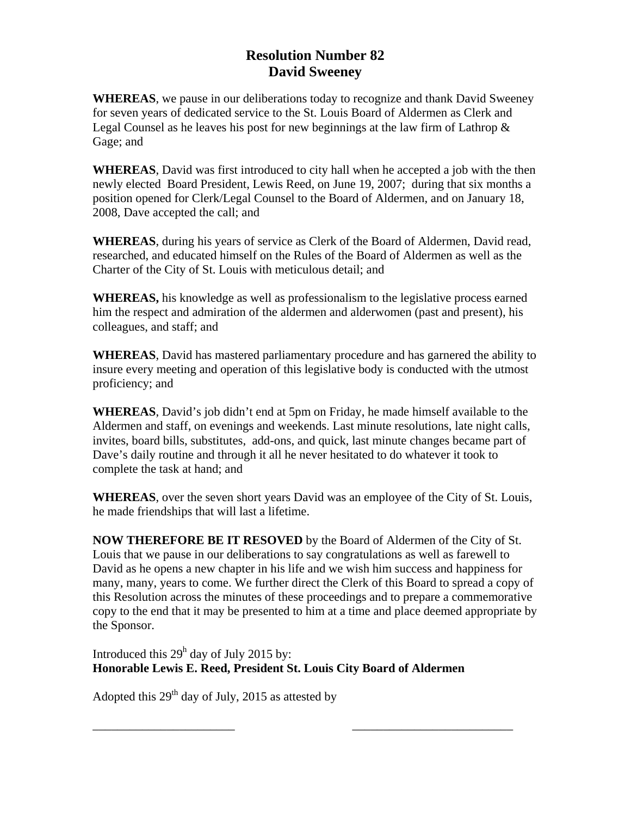## **Resolution Number 82 David Sweeney**

**WHEREAS**, we pause in our deliberations today to recognize and thank David Sweeney for seven years of dedicated service to the St. Louis Board of Aldermen as Clerk and Legal Counsel as he leaves his post for new beginnings at the law firm of Lathrop  $\&$ Gage; and

**WHEREAS**, David was first introduced to city hall when he accepted a job with the then newly elected Board President, Lewis Reed, on June 19, 2007; during that six months a position opened for Clerk/Legal Counsel to the Board of Aldermen, and on January 18, 2008, Dave accepted the call; and

**WHEREAS**, during his years of service as Clerk of the Board of Aldermen, David read, researched, and educated himself on the Rules of the Board of Aldermen as well as the Charter of the City of St. Louis with meticulous detail; and

**WHEREAS,** his knowledge as well as professionalism to the legislative process earned him the respect and admiration of the aldermen and alderwomen (past and present), his colleagues, and staff; and

**WHEREAS**, David has mastered parliamentary procedure and has garnered the ability to insure every meeting and operation of this legislative body is conducted with the utmost proficiency; and

**WHEREAS**, David's job didn't end at 5pm on Friday, he made himself available to the Aldermen and staff, on evenings and weekends. Last minute resolutions, late night calls, invites, board bills, substitutes, add-ons, and quick, last minute changes became part of Dave's daily routine and through it all he never hesitated to do whatever it took to complete the task at hand; and

**WHEREAS**, over the seven short years David was an employee of the City of St. Louis, he made friendships that will last a lifetime.

**NOW THEREFORE BE IT RESOVED** by the Board of Aldermen of the City of St. Louis that we pause in our deliberations to say congratulations as well as farewell to David as he opens a new chapter in his life and we wish him success and happiness for many, many, years to come. We further direct the Clerk of this Board to spread a copy of this Resolution across the minutes of these proceedings and to prepare a commemorative copy to the end that it may be presented to him at a time and place deemed appropriate by the Sponsor.

Introduced this  $29<sup>h</sup>$  day of July 2015 by: **Honorable Lewis E. Reed, President St. Louis City Board of Aldermen** 

\_\_\_\_\_\_\_\_\_\_\_\_\_\_\_\_\_\_\_\_\_\_\_ \_\_\_\_\_\_\_\_\_\_\_\_\_\_\_\_\_\_\_\_\_\_\_\_\_\_

Adopted this  $29<sup>th</sup>$  day of July, 2015 as attested by